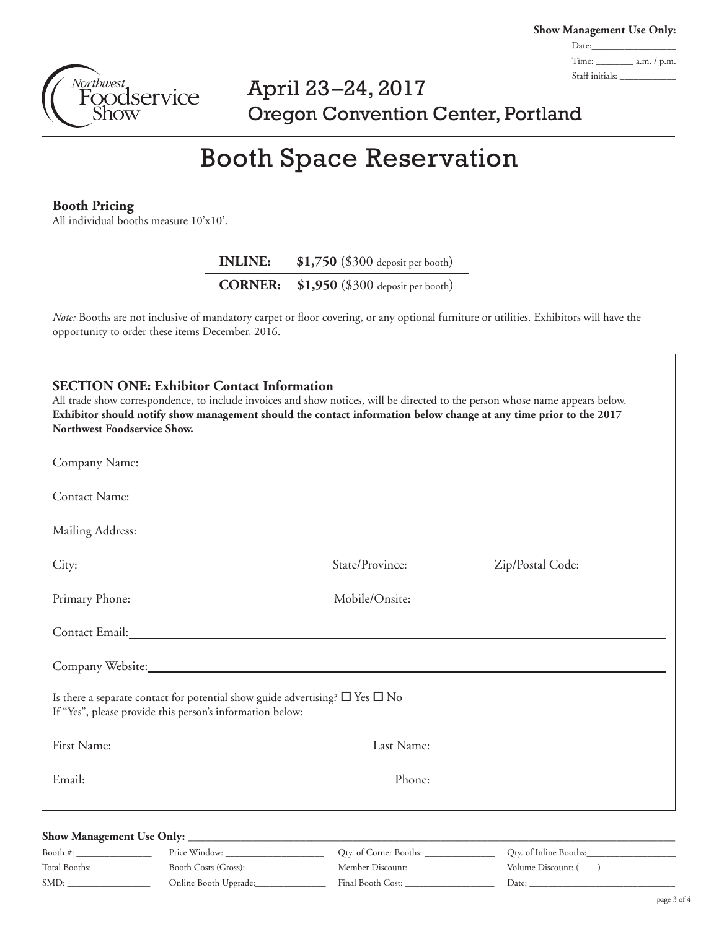**Show Management Use Only:** Date:\_ Time: \_\_\_\_\_\_\_\_ a.m. / p.m. Staff initials:

## April 23–24, 2017 Oregon Convention Center, Portland

# Booth Space Reservation

## **Booth Pricing**

All individual booths measure 10'x10'.

**INLINE: \$1,750** (\$300 deposit per booth)

**CORNER: \$1,950** (\$300 deposit per booth)

*Note:* Booths are not inclusive of mandatory carpet or floor covering, or any optional furniture or utilities. Exhibitors will have the opportunity to order these items December, 2016.

| Northwest Foodservice Show.  | <b>SECTION ONE: Exhibitor Contact Information</b>                                                                                                   |                                          | All trade show correspondence, to include invoices and show notices, will be directed to the person whose name appears below.<br>Exhibitor should notify show management should the contact information below change at any time prior to the 2017 |
|------------------------------|-----------------------------------------------------------------------------------------------------------------------------------------------------|------------------------------------------|----------------------------------------------------------------------------------------------------------------------------------------------------------------------------------------------------------------------------------------------------|
|                              |                                                                                                                                                     |                                          |                                                                                                                                                                                                                                                    |
|                              |                                                                                                                                                     |                                          | Contact Name: Name and Name and Name and Name and Name and Name and Name and Name and Name and Name and Name and Name and Name and Name and Name and Name and Name and Name and Name and Name and Name and Name and Name and N                     |
|                              |                                                                                                                                                     |                                          |                                                                                                                                                                                                                                                    |
|                              |                                                                                                                                                     |                                          |                                                                                                                                                                                                                                                    |
|                              |                                                                                                                                                     |                                          | Primary Phone: Mobile/Onsite: Mobile/Onsite: Mobile/Onsite: Mobile/Onsite: Mobile/Onsite: Mobile/Onsite: Mobile/Onsite: Mobile/Onsite: Mobile/Onsite: Mobile/Onsite: Mobile/Onsite: Mobile/Onsite: Mobile/Onsite: Mobile/Onsit                     |
|                              |                                                                                                                                                     |                                          |                                                                                                                                                                                                                                                    |
|                              |                                                                                                                                                     |                                          | Company Website: New York: New York: New York: New York: New York: New York: New York: New York: New York: New York: New York: New York: New York: New York: New York: New York: New York: New York: New York: New York: New Y                     |
|                              | Is there a separate contact for potential show guide advertising? $\Box$ Yes $\Box$ No<br>If "Yes", please provide this person's information below: |                                          |                                                                                                                                                                                                                                                    |
|                              |                                                                                                                                                     |                                          | First Name: Last Name: Last Name: Last Name:                                                                                                                                                                                                       |
|                              |                                                                                                                                                     |                                          |                                                                                                                                                                                                                                                    |
|                              |                                                                                                                                                     |                                          |                                                                                                                                                                                                                                                    |
|                              |                                                                                                                                                     | Qty. of Corner Booths: _________________ |                                                                                                                                                                                                                                                    |
| Total Booths: ______________ | Booth Costs (Gross): ________________                                                                                                               |                                          |                                                                                                                                                                                                                                                    |
| SMD:                         | Online Booth Upgrade:________________                                                                                                               |                                          |                                                                                                                                                                                                                                                    |

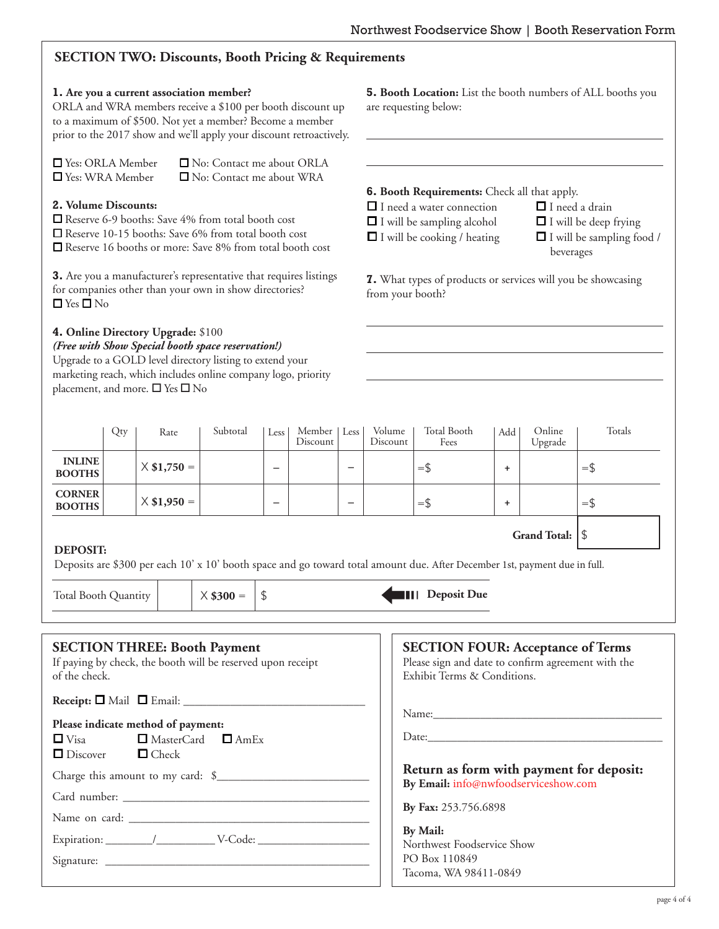## **SECTION TWO: Discounts, Booth Pricing & Requirements**

## **1. Are you a current association member?**

ORLA and WRA members receive a \$100 per booth discount up to a maximum of \$500. Not yet a member? Become a member prior to the 2017 show and we'll apply

| $\Box$ Yes: ORLA Member | □ No: Contact me about ORLA     |
|-------------------------|---------------------------------|
| $\Box$ Yes: WRA Member  | $\Box$ No: Contact me about WRA |

## **2. Volume Discounts:**

## **4. Online Directory Upgrade:** \$100

**5. Booth Location:** List the booth numbers of ALL booths you are requesting below:

|                                                                                                                                                                                                  |     |                                                                                                                                                                                                                                                                         | prior to the 2017 show and we'll apply your discount retroactively. |                          |                                                                                         |                                                                                         |                                                                                                                                                                                                                                                                              |                                                                                                                               |     |                     |            |
|--------------------------------------------------------------------------------------------------------------------------------------------------------------------------------------------------|-----|-------------------------------------------------------------------------------------------------------------------------------------------------------------------------------------------------------------------------------------------------------------------------|---------------------------------------------------------------------|--------------------------|-----------------------------------------------------------------------------------------|-----------------------------------------------------------------------------------------|------------------------------------------------------------------------------------------------------------------------------------------------------------------------------------------------------------------------------------------------------------------------------|-------------------------------------------------------------------------------------------------------------------------------|-----|---------------------|------------|
| □ Yes: ORLA Member<br>□ Yes: WRA Member                                                                                                                                                          |     |                                                                                                                                                                                                                                                                         | □ No: Contact me about ORLA<br>□ No: Contact me about WRA           |                          |                                                                                         |                                                                                         |                                                                                                                                                                                                                                                                              |                                                                                                                               |     |                     |            |
| 2. Volume Discounts:<br>□ Reserve 6-9 booths: Save 4% from total booth cost<br>□ Reserve 10-15 booths: Save 6% from total booth cost<br>Reserve 16 booths or more: Save 8% from total booth cost |     |                                                                                                                                                                                                                                                                         |                                                                     |                          |                                                                                         |                                                                                         | <b>6. Booth Requirements:</b> Check all that apply.<br>$\Box$ I need a water connection<br>$\Box$ I need a drain<br>$\Box$ I will be sampling alcohol<br>$\Box$ I will be deep frying<br>$\Box$ I will be cooking / heating<br>$\Box$ I will be sampling food /<br>beverages |                                                                                                                               |     |                     |            |
| 3. Are you a manufacturer's representative that requires listings<br>for companies other than your own in show directories?<br>$\Box$ Yes $\Box$ No                                              |     |                                                                                                                                                                                                                                                                         |                                                                     |                          |                                                                                         | <b>7.</b> What types of products or services will you be showcasing<br>from your booth? |                                                                                                                                                                                                                                                                              |                                                                                                                               |     |                     |            |
|                                                                                                                                                                                                  |     | 4. Online Directory Upgrade: \$100<br>(Free with Show Special booth space reservation!)<br>Upgrade to a GOLD level directory listing to extend your<br>marketing reach, which includes online company logo, priority<br>placement, and more. $\square$ Yes $\square$ No |                                                                     |                          |                                                                                         |                                                                                         |                                                                                                                                                                                                                                                                              |                                                                                                                               |     |                     |            |
|                                                                                                                                                                                                  | Qty | Rate                                                                                                                                                                                                                                                                    | Subtotal                                                            | Less                     | Member<br>Discount                                                                      | Less                                                                                    | Volume<br>Discount                                                                                                                                                                                                                                                           | Total Booth<br>Fees                                                                                                           | Add | Online<br>Upgrade   | Totals     |
| <b>INLINE</b><br><b>BOOTHS</b>                                                                                                                                                                   |     | $X$ \$1,750 =                                                                                                                                                                                                                                                           |                                                                     |                          |                                                                                         | $\overline{\phantom{0}}$                                                                |                                                                                                                                                                                                                                                                              | $=$ \$                                                                                                                        | ÷   |                     | $=$ \$     |
| <b>CORNER</b><br><b>BOOTHS</b>                                                                                                                                                                   |     | $X$ \$1,950 =                                                                                                                                                                                                                                                           |                                                                     | $\overline{\phantom{0}}$ |                                                                                         | $\overline{\phantom{0}}$                                                                |                                                                                                                                                                                                                                                                              | $=$ \$                                                                                                                        | ÷.  |                     | $=$ \$     |
| <b>DEPOSIT:</b>                                                                                                                                                                                  |     |                                                                                                                                                                                                                                                                         |                                                                     |                          |                                                                                         |                                                                                         |                                                                                                                                                                                                                                                                              | Deposits are \$300 per each 10' x 10' booth space and go toward total amount due. After December 1st, payment due in full.    |     | <b>Grand Total:</b> | $\sqrt{2}$ |
| Total Booth Quantity                                                                                                                                                                             |     |                                                                                                                                                                                                                                                                         | $\times$ \$300 =                                                    | \$                       |                                                                                         |                                                                                         |                                                                                                                                                                                                                                                                              | <b>III</b> Deposit Due                                                                                                        |     |                     |            |
| of the check.                                                                                                                                                                                    |     | <b>SECTION THREE: Booth Payment</b><br>If paying by check, the booth will be reserved upon receipt                                                                                                                                                                      |                                                                     |                          |                                                                                         |                                                                                         |                                                                                                                                                                                                                                                                              | <b>SECTION FOUR: Acceptance of Terms</b><br>Please sign and date to confirm agreement with the<br>Exhibit Terms & Conditions. |     |                     |            |
| $\Box$ Visa<br>$\Box$ Discover                                                                                                                                                                   |     | Please indicate method of payment:<br>$\Box$ MasterCard $\Box$ AmEx<br>$\Box$ Check                                                                                                                                                                                     |                                                                     |                          |                                                                                         |                                                                                         |                                                                                                                                                                                                                                                                              |                                                                                                                               |     |                     |            |
|                                                                                                                                                                                                  |     |                                                                                                                                                                                                                                                                         |                                                                     |                          |                                                                                         |                                                                                         |                                                                                                                                                                                                                                                                              | Return as form with payment for deposit:<br>By Email: info@nwfoodserviceshow.com                                              |     |                     |            |
|                                                                                                                                                                                                  |     |                                                                                                                                                                                                                                                                         |                                                                     |                          |                                                                                         |                                                                                         |                                                                                                                                                                                                                                                                              | By Fax: 253.756.6898                                                                                                          |     |                     |            |
|                                                                                                                                                                                                  |     |                                                                                                                                                                                                                                                                         |                                                                     |                          | <b>By Mail:</b><br>Northwest Foodservice Show<br>PO Box 110849<br>Tacoma, WA 98411-0849 |                                                                                         |                                                                                                                                                                                                                                                                              |                                                                                                                               |     |                     |            |